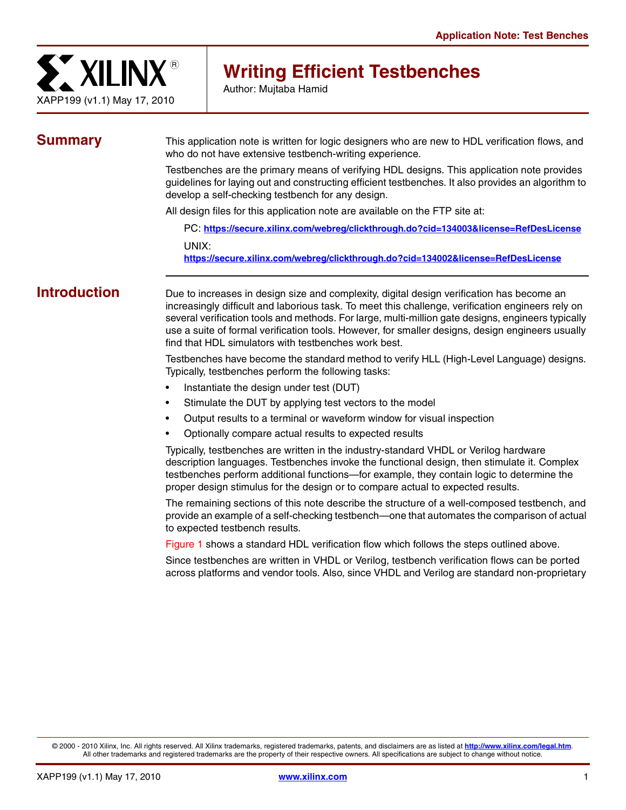

# **Writing Efficient Testbenches**

Author: Mujtaba Hamid

**Summary** This application note is written for logic designers who are new to HDL verification flows, and who do not have extensive testbench-writing experience.

> Testbenches are the primary means of verifying HDL designs. This application note provides guidelines for laying out and constructing efficient testbenches. It also provides an algorithm to develop a self-checking testbench for any design.

All design files for this application note are available on the FTP site at:

PC: **<https://secure.xilinx.com/webreg/clickthrough.do?cid=134003&license=RefDesLicense>** UNIX: **<https://secure.xilinx.com/webreg/clickthrough.do?cid=134002&license=RefDesLicense>**

**Introduction** Due to increases in design size and complexity, digital design verification has become an increasingly difficult and laborious task. To meet this challenge, verification engineers rely on several verification tools and methods. For large, multi-million gate designs, engineers typically use a suite of formal verification tools. However, for smaller designs, design engineers usually find that HDL simulators with testbenches work best.

> Testbenches have become the standard method to verify HLL (High-Level Language) designs. Typically, testbenches perform the following tasks:

- Instantiate the design under test (DUT)
- Stimulate the DUT by applying test vectors to the model
- Output results to a terminal or waveform window for visual inspection
- Optionally compare actual results to expected results

Typically, testbenches are written in the industry-standard VHDL or Verilog hardware description languages. Testbenches invoke the functional design, then stimulate it. Complex testbenches perform additional functions—for example, they contain logic to determine the proper design stimulus for the design or to compare actual to expected results.

The remaining sections of this note describe the structure of a well-composed testbench, and provide an example of a self-checking testbench—one that automates the comparison of actual to expected testbench results.

[Figure 1](#page-1-0) shows a standard HDL verification flow which follows the steps outlined above.

Since testbenches are written in VHDL or Verilog, testbench verification flows can be ported across platforms and vendor tools. Also, since VHDL and Verilog are standard non-proprietary

© 2000 - 2010 Xilinx, Inc. All rights reserved. All Xilinx trademarks, registered trademarks, patents, and disclaimers are as listed at **<http://www.xilinx.com/legal.htm>**. All other trademarks and registered trademarks are the property of their respective owners. All specifications are subject to change without notice.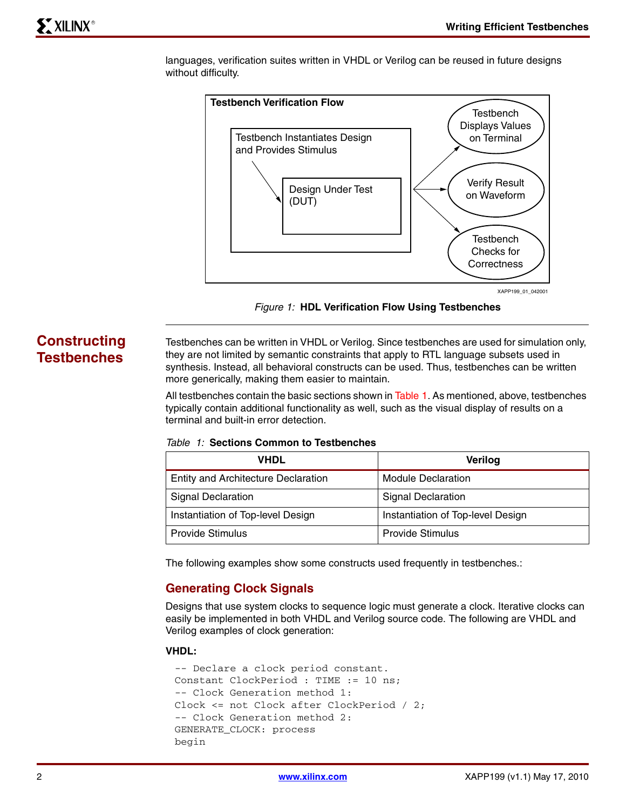

languages, verification suites written in VHDL or Verilog can be reused in future designs without difficulty.



*Figure 1:* **HDL Verification Flow Using Testbenches**

# **Constructing Testbenches**

<span id="page-1-0"></span>Testbenches can be written in VHDL or Verilog. Since testbenches are used for simulation only, they are not limited by semantic constraints that apply to RTL language subsets used in synthesis. Instead, all behavioral constructs can be used. Thus, testbenches can be written more generically, making them easier to maintain.

All testbenches contain the basic sections shown in [Table 1](#page-1-1). As mentioned, above, testbenches typically contain additional functionality as well, such as the visual display of results on a terminal and built-in error detection.

<span id="page-1-1"></span>

|  |  |  |  |  | Table 1: Sections Common to Testbenches |
|--|--|--|--|--|-----------------------------------------|
|--|--|--|--|--|-----------------------------------------|

| VHDL                                       | Verilog                           |
|--------------------------------------------|-----------------------------------|
| <b>Entity and Architecture Declaration</b> | <b>Module Declaration</b>         |
| <b>Signal Declaration</b>                  | <b>Signal Declaration</b>         |
| Instantiation of Top-level Design          | Instantiation of Top-level Design |
| <b>Provide Stimulus</b>                    | <b>Provide Stimulus</b>           |

The following examples show some constructs used frequently in testbenches.:

# **Generating Clock Signals**

Designs that use system clocks to sequence logic must generate a clock. Iterative clocks can easily be implemented in both VHDL and Verilog source code. The following are VHDL and Verilog examples of clock generation:

#### **VHDL:**

```
-- Declare a clock period constant.
Constant ClockPeriod : TIME := 10 ns;
-- Clock Generation method 1:
Clock <= not Clock after ClockPeriod / 2;
-- Clock Generation method 2:
GENERATE_CLOCK: process
begin
```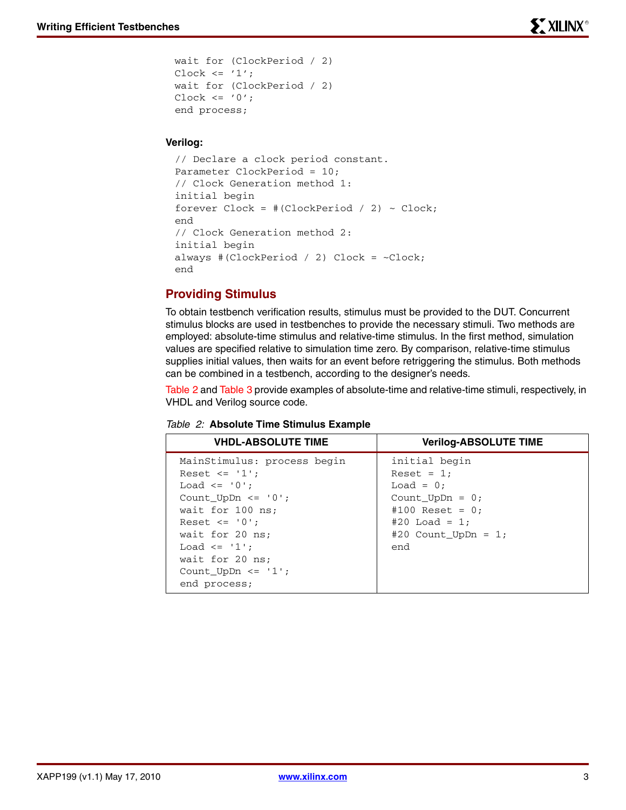```
wait for (ClockPeriod / 2)
Clock \leq '1';
wait for (ClockPeriod / 2)
Clock \leq '0';end process;
```
## **Verilog:**

```
// Declare a clock period constant.
Parameter ClockPeriod = 10;
// Clock Generation method 1:
initial begin
forever Clock = +(ClockPeriod / 2) ~·Clock;end
// Clock Generation method 2:
initial begin
always #(ClockPeriod / 2) Clock = ~Clock;
end
```
# **Providing Stimulus**

To obtain testbench verification results, stimulus must be provided to the DUT. Concurrent stimulus blocks are used in testbenches to provide the necessary stimuli. Two methods are employed: absolute-time stimulus and relative-time stimulus. In the first method, simulation values are specified relative to simulation time zero. By comparison, relative-time stimulus supplies initial values, then waits for an event before retriggering the stimulus. Both methods can be combined in a testbench, according to the designer's needs.

[Table 2](#page-2-0) and [Table 3](#page-3-0) provide examples of absolute-time and relative-time stimuli, respectively, in VHDL and Verilog source code.

| <b>VHDL-ABSOLUTE TIME</b>                                                                                                                                                                                                                                                                               | <b>Verilog-ABSOLUTE TIME</b>                                                                                                                  |
|---------------------------------------------------------------------------------------------------------------------------------------------------------------------------------------------------------------------------------------------------------------------------------------------------------|-----------------------------------------------------------------------------------------------------------------------------------------------|
| MainStimulus: process begin<br>Reset $\leq$ '1';<br>Load $\leq$ '0';<br>Count UpDn $\leq$ $\leq$ $\cdot$ $\cdot$ $\cdot$<br>wait for 100 ns;<br>Reset $\leq$ $\leq$ $\cdot$ $\cdot$ $\cdot$ $\cdot$<br>wait for 20 ns;<br>Load $\leq$ '1';<br>wait for 20 ns;<br>Count UpDn $\leq$ '1';<br>end process; | initial begin<br>Reset = $1$ ;<br>Load = $0$ ;<br>Count $UpDn = 0$ ;<br>#100 Reset = $0:$<br>$#20$ Load = 1:<br>#20 Count_UpDn = $1$ ;<br>end |

<span id="page-2-0"></span>

|  |  | Table 2: Absolute Time Stimulus Example |  |  |  |  |
|--|--|-----------------------------------------|--|--|--|--|
|--|--|-----------------------------------------|--|--|--|--|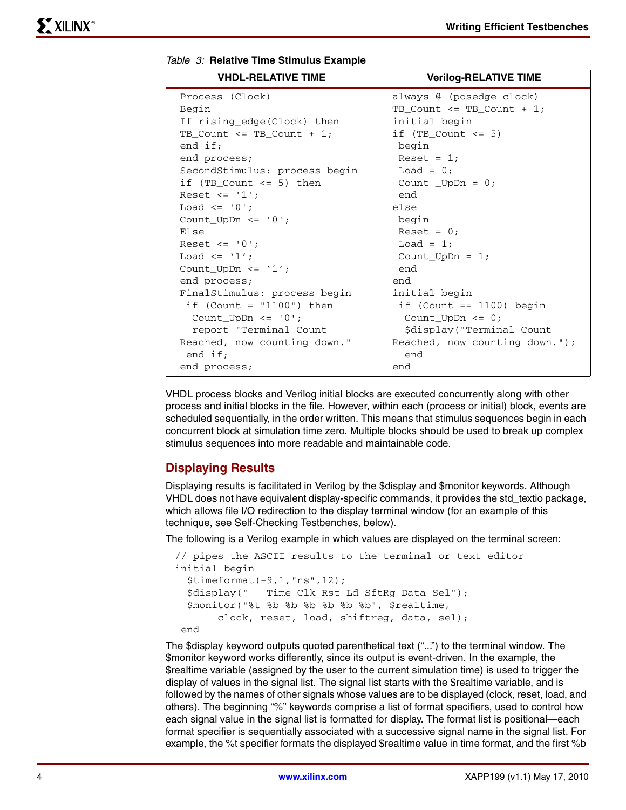| <b>VHDL-RELATIVE TIME</b>     | <b>Verilog-RELATIVE TIME</b>   |
|-------------------------------|--------------------------------|
| Process (Clock)               | always @ (posedge clock)       |
| Begin                         | TB_Count <= TB_Count + 1;      |
| If rising_edge(Clock) then    | initial begin                  |
| $TB_Count \leq TB_Count + 1;$ | if $(TB_Count \le 5)$          |
| end $if;$                     | begin                          |
| end process;                  | Reset = $1$ ;                  |
| SecondStimulus: process begin | Load = $0$ ;                   |
| if (TB Count $\le$ 5) then    | Count UpDn = $0$ ;             |
| Reset $\leq -1$ :             | end                            |
| Load $\leq$ '0';              | else                           |
| Count_UpDn <= $'0';$          | begin                          |
| Else                          | Reset = $0;$                   |
| Reset $\leq$ '0';             | Load = $1;$                    |
| Load $\leq$ '1':              | Count UpDn = $1$ ;             |
| Count_UpDn <= $'1';$          | end                            |
| end process;                  | end                            |
| FinalStimulus: process begin  | initial begin                  |
| if $(Count = "1100") then$    | if (Count $== 1100$ ) begin    |
| Count UpDn $\leq$ '0';        | Count UpDn $\leq 0$ ;          |
| report "Terminal Count        | \$display("Terminal Count      |
| Reached, now counting down."  | Reached, now counting down."); |
| end $if;$                     | end                            |
| end process;                  | end                            |

<span id="page-3-0"></span>

|  |  |  |  | Table 3: Relative Time Stimulus Example |  |
|--|--|--|--|-----------------------------------------|--|
|--|--|--|--|-----------------------------------------|--|

VHDL process blocks and Verilog initial blocks are executed concurrently along with other process and initial blocks in the file. However, within each (process or initial) block, events are scheduled sequentially, in the order written. This means that stimulus sequences begin in each concurrent block at simulation time zero. Multiple blocks should be used to break up complex stimulus sequences into more readable and maintainable code.

# **Displaying Results**

Displaying results is facilitated in Verilog by the \$display and \$monitor keywords. Although VHDL does not have equivalent display-specific commands, it provides the std\_textio package, which allows file I/O redirection to the display terminal window (for an example of this technique, see Self-Checking Testbenches, below).

The following is a Verilog example in which values are displayed on the terminal screen:

```
// pipes the ASCII results to the terminal or text editor
initial begin
  $timeformat(-9,1,"ns",12);
   $display(" Time Clk Rst Ld SftRg Data Sel");
   $monitor("%t %b %b %b %b %b %b", $realtime,
        clock, reset, load, shiftreg, data, sel);
  end
```
The \$display keyword outputs quoted parenthetical text ("...") to the terminal window. The \$monitor keyword works differently, since its output is event-driven. In the example, the \$realtime variable (assigned by the user to the current simulation time) is used to trigger the display of values in the signal list. The signal list starts with the \$realtime variable, and is followed by the names of other signals whose values are to be displayed (clock, reset, load, and others). The beginning "%" keywords comprise a list of format specifiers, used to control how each signal value in the signal list is formatted for display. The format list is positional—each format specifier is sequentially associated with a successive signal name in the signal list. For example, the %t specifier formats the displayed \$realtime value in time format, and the first %b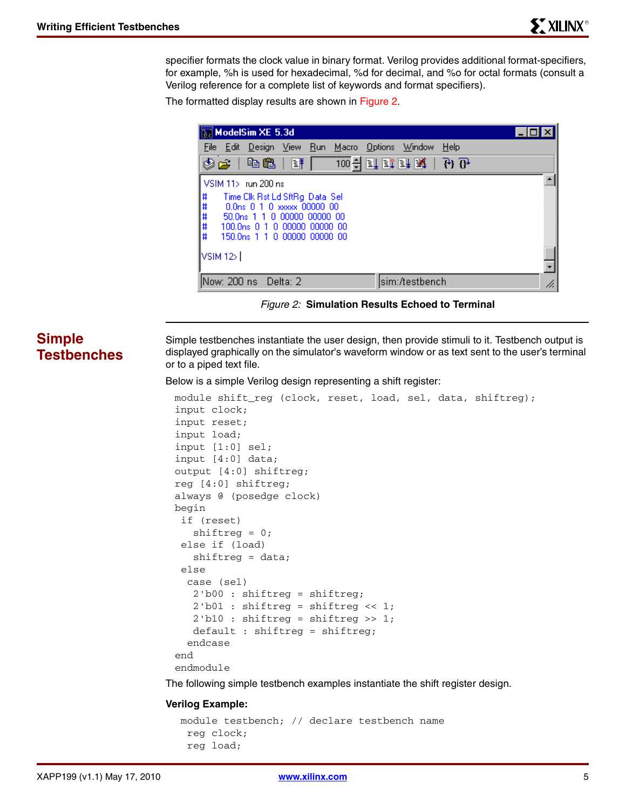specifier formats the clock value in binary format. Verilog provides additional format-specifiers, for example, %h is used for hexadecimal, %d for decimal, and %o for octal formats (consult a Verilog reference for a complete list of keywords and format specifiers).

The formatted display results are shown in [Figure 2.](#page-4-0)

| $\overline{\mathbb{M}}$ ModelSim XE 5.3d                                                                                                                                                                             |                           |  |  |  |  |
|----------------------------------------------------------------------------------------------------------------------------------------------------------------------------------------------------------------------|---------------------------|--|--|--|--|
| File Edit<br>Design View <u>R</u> un<br>Macro                                                                                                                                                                        | $He$ lp<br>Options Window |  |  |  |  |
| ✿≃<br> 龟龟<br>100 쉬<br>酥                                                                                                                                                                                              | 可取时取一分的                   |  |  |  |  |
| VSIM 11> run 200 ns                                                                                                                                                                                                  |                           |  |  |  |  |
| #####<br>Time Clk Rst Ld SftRg Data Sel<br>0.0 <sub>ns</sub> 0 1 0 xxxxx 00000 00<br>50.0 <sub>ps</sub> 1 1 0 00000 00000 00<br>100.0 <sub>ns</sub> 0 1 0 00000 00000 00<br>150.0 <sub>ns</sub> 1 1 0 00000 00000 00 |                           |  |  |  |  |
| $\sqrt{\frac{3}{12}}$                                                                                                                                                                                                |                           |  |  |  |  |
| Now: 200 ns<br>Delta: 2                                                                                                                                                                                              | sim:/testbench<br>h.      |  |  |  |  |

*Figure 2:* **Simulation Results Echoed to Terminal**

# **Simple Testbenches**

<span id="page-4-0"></span>Simple testbenches instantiate the user design, then provide stimuli to it. Testbench output is displayed graphically on the simulator's waveform window or as text sent to the user's terminal or to a piped text file.

Below is a simple Verilog design representing a shift register:

```
module shift_reg (clock, reset, load, sel, data, shiftreg);
input clock;
input reset;
input load;
input [1:0] sel;
input [4:0] data;
output [4:0] shiftreg;
reg [4:0] shiftreg;
always @ (posedge clock)
begin
  if (reset)
    shiftreg = 0;
  else if (load)
    shiftreg = data;
  else 
   case (sel)
    2'b00 : shiftreg = shiftreg;
    2'b01 : shiftreg = shiftreg << 1;
    2'b10 : shiftreg = shiftreg >> 1;
    default : shiftreg = shiftreg;
   endcase
end
endmodule
```
The following simple testbench examples instantiate the shift register design.

#### **Verilog Example:**

```
 module testbench; // declare testbench name
  reg clock;
  reg load;
```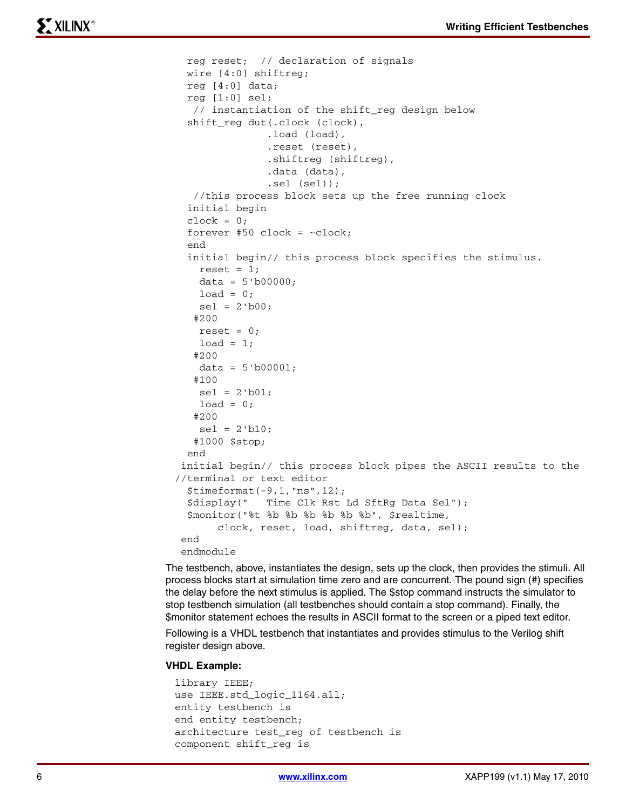```
 reg reset; // declaration of signals
  wire [4:0] shiftreg;
  reg [4:0] data;
  reg [1:0] sel;
   // instantiation of the shift_reg design below
  shift_reg dut(.clock (clock), 
               .load (load), 
               .reset (reset), 
               .shiftreg (shiftreg),
                .data (data), 
               .sel (sel));
    //this process block sets up the free running clock
  initial begin
 clock = 0;forever #50 clock = ~-clock;
  end
  initial begin// this process block specifies the stimulus. 
   reset = 1;data = 5'b00000;load = 0;sel = 2'b00; #200
   reset = 0;load = 1; #200
   data = 5'b00001; #100
    sel = 2'b01;
   load = 0; #200
   sel = 2'b10; #1000 $stop;
  end
  initial begin// this process block pipes the ASCII results to the 
//terminal or text editor
   $timeformat(-9,1,"ns",12);
  $display(" Time Clk Rst Ld SftRg Data Sel");
  $monitor("%t %b %b %b %b %b %b", $realtime,
        clock, reset, load, shiftreg, data, sel);
  end
  endmodule
```
The testbench, above, instantiates the design, sets up the clock, then provides the stimuli. All process blocks start at simulation time zero and are concurrent. The pound sign (#) specifies the delay before the next stimulus is applied. The \$stop command instructs the simulator to stop testbench simulation (all testbenches should contain a stop command). Finally, the \$monitor statement echoes the results in ASCII format to the screen or a piped text editor.

Following is a VHDL testbench that instantiates and provides stimulus to the Verilog shift register design above.

#### **VHDL Example:**

```
library IEEE;
use IEEE.std_logic_1164.all;
entity testbench is
end entity testbench;
architecture test_reg of testbench is
component shift_reg is
```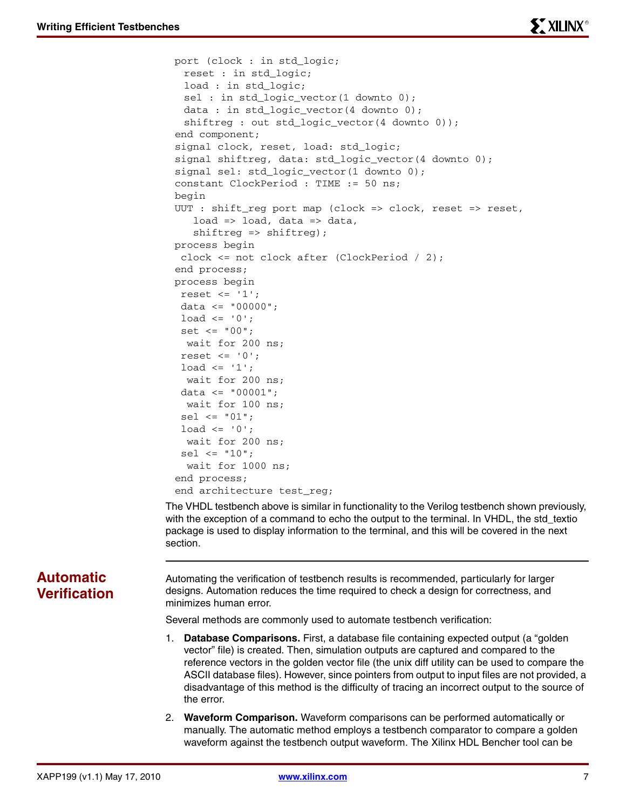```
port (clock : in std_logic;
 reset : in std_logic;
 load : in std_logic;
 sel : in std_logic_vector(1 downto 0);
 data : in std_logic_vector(4 downto 0);
 shiftreg : out std_logic_vector(4 downto 0));
end component;
signal clock, reset, load: std_logic;
signal shiftreg, data: std_logic_vector(4 downto 0);
signal sel: std_logic_vector(1 downto 0);
constant ClockPeriod : TIME := 50 ns;
begin
UUT : shift_reg port map (clock => clock, reset => reset, 
   load \Rightarrow load, data \Rightarrow data,shiftreg => shiftreg);
process begin
  clock <= not clock after (ClockPeriod / 2);
end process;
process begin
reset \leq '1';
 data <= "00000";
 load \le 0'; set <= "00";
  wait for 200 ns;
 reset \leq '0';
 load \le '1';
  wait for 200 ns;
 data <= "00001";
   wait for 100 ns;
  sel <= "01";
 load \le 0';
   wait for 200 ns;
 sel \le "10";
   wait for 1000 ns;
end process;
end architecture test_reg;
```
The VHDL testbench above is similar in functionality to the Verilog testbench shown previously, with the exception of a command to echo the output to the terminal. In VHDL, the std textio package is used to display information to the terminal, and this will be covered in the next section.

# **Automatic Verification**

Automating the verification of testbench results is recommended, particularly for larger designs. Automation reduces the time required to check a design for correctness, and minimizes human error.

Several methods are commonly used to automate testbench verification:

- 1. **Database Comparisons.** First, a database file containing expected output (a "golden vector" file) is created. Then, simulation outputs are captured and compared to the reference vectors in the golden vector file (the unix diff utility can be used to compare the ASCII database files). However, since pointers from output to input files are not provided, a disadvantage of this method is the difficulty of tracing an incorrect output to the source of the error.
- 2. **Waveform Comparison.** Waveform comparisons can be performed automatically or manually. The automatic method employs a testbench comparator to compare a golden waveform against the testbench output waveform. The Xilinx HDL Bencher tool can be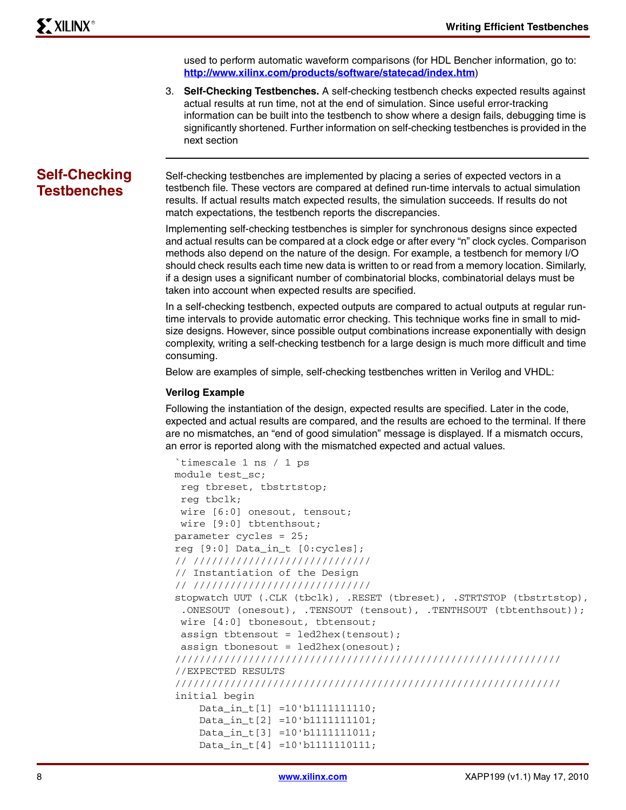used to perform automatic waveform comparisons (for HDL Bencher information, go to: **<http://www.xilinx.com/products/software/statecad/index.htm>**)

3. **Self-Checking Testbenches.** A self-checking testbench checks expected results against actual results at run time, not at the end of simulation. Since useful error-tracking information can be built into the testbench to show where a design fails, debugging time is significantly shortened. Further information on self-checking testbenches is provided in the next section

# **Self-Checking Testbenches**

Self-checking testbenches are implemented by placing a series of expected vectors in a testbench file. These vectors are compared at defined run-time intervals to actual simulation results. If actual results match expected results, the simulation succeeds. If results do not match expectations, the testbench reports the discrepancies.

Implementing self-checking testbenches is simpler for synchronous designs since expected and actual results can be compared at a clock edge or after every "n" clock cycles. Comparison methods also depend on the nature of the design. For example, a testbench for memory I/O should check results each time new data is written to or read from a memory location. Similarly, if a design uses a significant number of combinatorial blocks, combinatorial delays must be taken into account when expected results are specified.

In a self-checking testbench, expected outputs are compared to actual outputs at regular runtime intervals to provide automatic error checking. This technique works fine in small to midsize designs. However, since possible output combinations increase exponentially with design complexity, writing a self-checking testbench for a large design is much more difficult and time consuming.

Below are examples of simple, self-checking testbenches written in Verilog and VHDL:

#### **Verilog Example**

Following the instantiation of the design, expected results are specified. Later in the code, expected and actual results are compared, and the results are echoed to the terminal. If there are no mismatches, an "end of good simulation" message is displayed. If a mismatch occurs, an error is reported along with the mismatched expected and actual values.

```
`timescale 1 ns / 1 ps
module test_sc;
  reg tbreset, tbstrtstop;
  reg tbclk;
  wire [6:0] onesout, tensout;
  wire [9:0] tbtenthsout;
parameter cycles = 25;
reg [9:0] Data_in_t [0:cycles];
// /////////////////////////////
// Instantiation of the Design
// /////////////////////////////
stopwatch UUT (.CLK (tbclk), .RESET (tbreset), .STRTSTOP (tbstrtstop),
  .ONESOUT (onesout), .TENSOUT (tensout), .TENTHSOUT (tbtenthsout));
  wire [4:0] tbonesout, tbtensout;
  assign tbtensout = led2hex(tensout);
  assign tbonesout = led2hex(onesout);
///////////////////////////////////////////////////////////////
//EXPECTED RESULTS
///////////////////////////////////////////////////////////////
initial begin
     Data_in_t[1] =10'b1111111110; 
     Data_in_t[2] =10'b1111111101; 
     Data_in_t[3] =10'b1111111011; 
     Data_in_t[4] =10'b1111110111;
```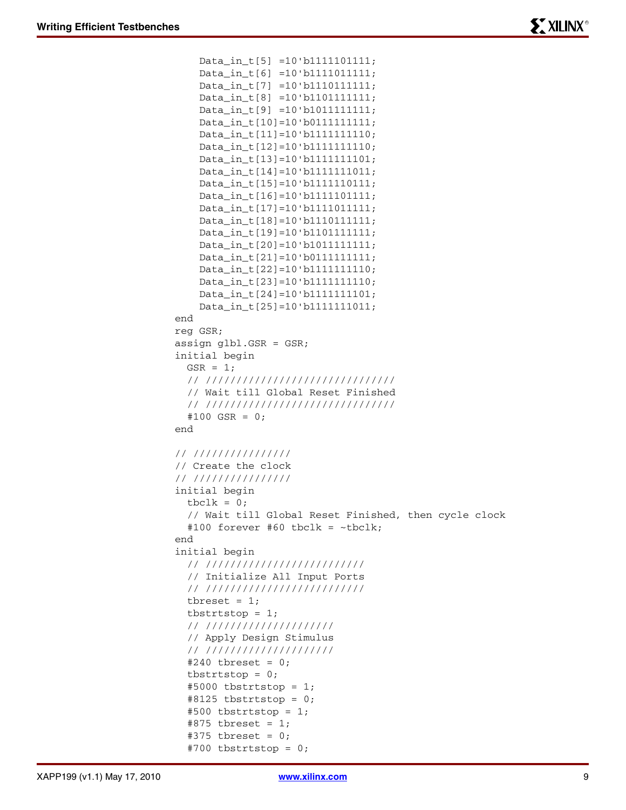```
 Data_in_t[5] =10'b1111101111; 
     Data_in_t[6] =10'b1111011111;
     Data_in_t[7] =10'b1110111111; 
     Data_in_t[8] =10'b1101111111; 
     Data_in_t[9] =10'b1011111111; 
     Data_in_t[10]=10'b0111111111;
     Data_in_t[11]=10'b1111111110; 
     Data_in_t[12]=10'b1111111110; 
     Data_in_t[13]=10'b1111111101; 
     Data_in_t[14]=10'b1111111011;
     Data_in_t[15]=10'b1111110111; 
     Data_in_t[16]=10'b1111101111;
     Data_in_t[17]=10'b1111011111; 
     Data_in_t[18]=10'b1110111111; 
     Data_in_t[19]=10'b1101111111; 
     Data_in_t[20]=10'b1011111111; 
     Data_in_t[21]=10'b0111111111; 
     Data_in_t[22]=10'b1111111110; 
     Data_in_t[23]=10'b1111111110; 
     Data_in_t[24]=10'b1111111101;
     Data_in_t[25]=10'b1111111011;
end
reg GSR;
assign glbl.GSR = GSR;
initial begin
  GSR = 1; // ///////////////////////////////
   // Wait till Global Reset Finished
   // ///////////////////////////////
   #100 GSR = 0;
end
// ////////////////
// Create the clock
// ////////////////
initial begin
  tbc1k = 0; // Wait till Global Reset Finished, then cycle clock
  #100 forever #60 tbclk = ~\simtbclk;
end
initial begin
   // //////////////////////////
   // Initialize All Input Ports
   // //////////////////////////
  tbreset = 1;tbstrtstop = 1;
   // /////////////////////
   // Apply Design Stimulus
   // /////////////////////
   #240 tbreset = 0;
  tbstrtstop = 0;#5000 tbstrtstop = 1;
  #8125 tbstrtstop = 0;
  #500 tbstrtstop = 1;
  #875 tbreset = 1;#375 tbreset = 0;
  #700 tbstrtstop = 0;
```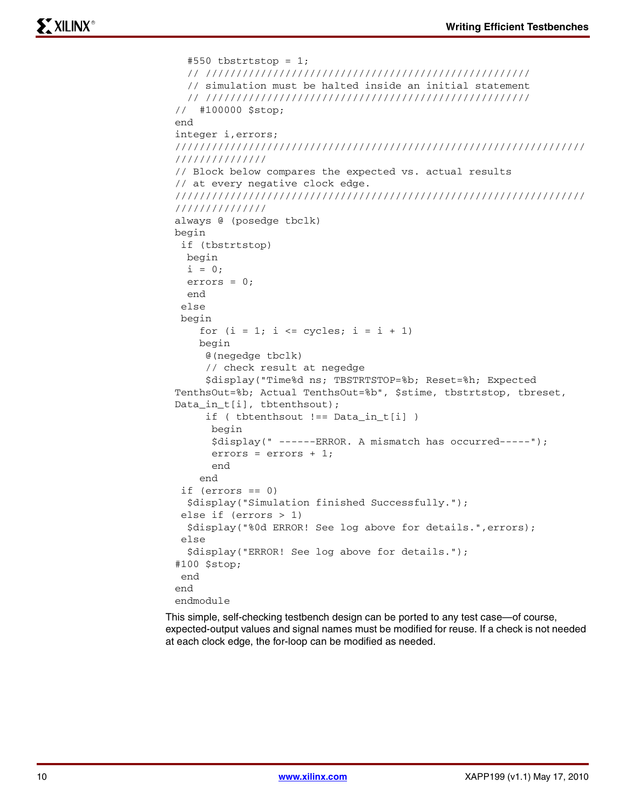```
#550 tbstrtstop = 1;
   // /////////////////////////////////////////////////////
   // simulation must be halted inside an initial statement
   // /////////////////////////////////////////////////////
// #100000 $stop;
end
integer i,errors;
///////////////////////////////////////////////////////////////////
///////////////
// Block below compares the expected vs. actual results
// at every negative clock edge.
///////////////////////////////////////////////////////////////////
///////////////
always @ (posedge tbclk)
begin
  if (tbstrtstop)
  begin
  i = 0; errors = 0;
   end
  else 
  begin
    for (i = 1; i \leq z \leq z) i = i + 1)
     begin
      @(negedge tbclk) 
      // check result at negedge
      $display("Time%d ns; TBSTRTSTOP=%b; Reset=%h; Expected 
TenthsOut=%b; Actual TenthsOut=%b", $stime, tbstrtstop, tbreset, 
Data_in_t[i], tbtenthsout);
      if ( tbtenthsout !== Data_in_t[i] )
       begin
       $display(" ------ERROR. A mismatch has occurred-----");
       errors = errors + 1;
       end
     end
  if (errors == 0)
   $display("Simulation finished Successfully.");
  else if (errors > 1)
   $display("%0d ERROR! See log above for details.",errors);
  else
   $display("ERROR! See log above for details."); 
#100 $stop; 
  end
end
endmodule
```
This simple, self-checking testbench design can be ported to any test case—of course, expected-output values and signal names must be modified for reuse. If a check is not needed at each clock edge, the for-loop can be modified as needed.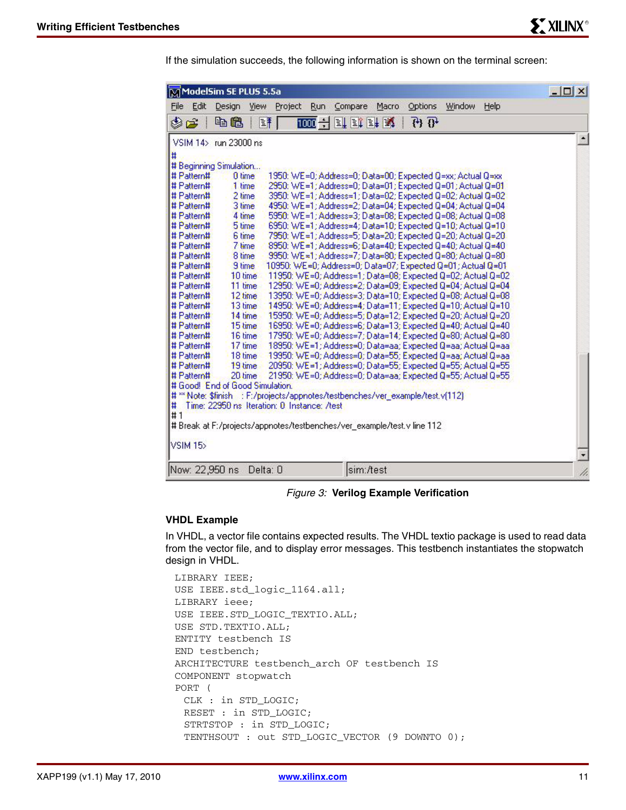If the simulation succeeds, the following information is shown on the terminal screen:

| MModelSim SE PLUS 5.5a          |                |                                                                                |                | $  $ $\Box$ $ $ $\times$ $ $ |
|---------------------------------|----------------|--------------------------------------------------------------------------------|----------------|------------------------------|
| Edit<br>File                    | Design<br>View | Options<br>Project<br><b>Run</b><br>Compare<br>Macro.                          | Window<br>Help |                              |
| \$2                             | 电追             | 1000 子可或卧成<br>$\overline{\mathfrak{B}}$<br>国平                                  |                |                              |
| VSIM 14> run 23000 ns           |                |                                                                                |                | $\Delta$                     |
| Ħ                               |                |                                                                                |                |                              |
| # Beginning Simulation          |                |                                                                                |                |                              |
| # Pattern#                      | 0 time         | 1950: WE=0; Address=0; Data=00; Expected Q=xx; Actual Q=xx                     |                |                              |
| # Pattern#                      | 1 time         | 2950: WE=1; Address=0; Data=01; Expected Q=01; Actual Q=01                     |                |                              |
| # Pattern#                      | 2 time         | 3950: WE=1; Address=1; Data=02; Expected Q=02; Actual Q=02                     |                |                              |
| # Pattern#                      | 3 time         | 4950: WE=1; Address=2; Data=04; Expected Q=04; Actual Q=04                     |                |                              |
| # Pattern#                      | 4 time         | 5950: WE=1; Address=3; Data=08; Expected Q=08; Actual Q=08                     |                |                              |
| # Pattern#                      | 5 time         | 6950: WE=1; Address=4; Data=10; Expected Q=10; Actual Q=10                     |                |                              |
| # Pattern#                      | 6 time         | 7950: WE=1; Address=5; Data=20; Expected Q=20; Actual Q=20                     |                |                              |
| # Pattern#                      | 7 time         | 8950: WE=1; Address=6; Data=40; Expected Q=40; Actual Q=40                     |                |                              |
| # Pattern#                      | 8 time         | 9950: WE=1; Address=7; Data=80; Expected Q=80; Actual Q=80                     |                |                              |
| # Pattern#                      | 9 time         | 10950: WE=0; Address=0; Data=07; Expected Q=01; Actual Q=01                    |                |                              |
| # Pattern#                      | 10 time        | 11950: WE=0; Address=1; Data=08; Expected Q=02; Actual Q=02                    |                |                              |
| # Pattern#                      | 11 time        | 12950: WE=0; Address=2; Data=09; Expected Q=04; Actual Q=04                    |                |                              |
| # Pattern#                      | 12 time        | 13950: WE=0; Address=3; Data=10; Expected Q=08; Actual Q=08                    |                |                              |
| # Pattern#                      | 13 time        | 14950: WE=0; Address=4; Data=11; Expected Q=10; Actual Q=10                    |                |                              |
| # Pattern#                      | 14 time        | 15950: WE=0; Address=5; Data=12; Expected Q=20; Actual Q=20                    |                |                              |
| # Pattern#                      | 15 time        | 16950: WE=0; Address=6; Data=13; Expected Q=40; Actual Q=40                    |                |                              |
| # Pattern#                      | 16 time        | 17950: WE=0; Address=7; Data=14; Expected Q=80; Actual Q=80                    |                |                              |
| # Pattern#                      | 17 time        | 18950: WE=1; Address=0; Data=aa; Expected Q=aa; Actual Q=aa                    |                |                              |
| # Pattern#                      | 18 time        | 19950: WE=0; Address=0; Data=55; Expected Q=aa; Actual Q=aa                    |                |                              |
| # Pattern#                      | 19 time        | 20950: WE=1; Address=0; Data=55; Expected Q=55; Actual Q=55                    |                |                              |
| # Pattern#                      | 20 time        | 21950: WE=0; Address=0; Data=aa; Expected Q=55; Actual Q=55                    |                |                              |
| # Good! End of Good Simulation. |                |                                                                                |                |                              |
|                                 |                | # ** Note: \$finish : F:/projects/appnotes/testbenches/ver_example/test.v(112) |                |                              |
| l#                              |                | Time: 22950 ns Iteration: 0 Instance: /test                                    |                |                              |
| #1                              |                |                                                                                |                |                              |
|                                 |                | # Break at F:/projects/appnotes/testbenches/ver_example/test.v line 112        |                |                              |
| VSIM <sub>15</sub>              |                |                                                                                |                | Ξ                            |
| Now: 22,950 ns                  | Delta: D       | sim:/test                                                                      |                |                              |

*Figure 3:* **Verilog Example Verification**

#### **VHDL Example**

In VHDL, a vector file contains expected results. The VHDL textio package is used to read data from the vector file, and to display error messages. This testbench instantiates the stopwatch design in VHDL.

```
LIBRARY IEEE;
USE IEEE.std_logic_1164.all;
LIBRARY ieee;
USE IEEE.STD_LOGIC_TEXTIO.ALL;
USE STD.TEXTIO.ALL;
ENTITY testbench IS
END testbench;
ARCHITECTURE testbench_arch OF testbench IS
COMPONENT stopwatch
PORT (
 CLK : in STD_LOGIC;
 RESET : in STD_LOGIC;
 STRTSTOP : in STD_LOGIC;
 TENTHSOUT : out STD_LOGIC_VECTOR (9 DOWNTO 0);
```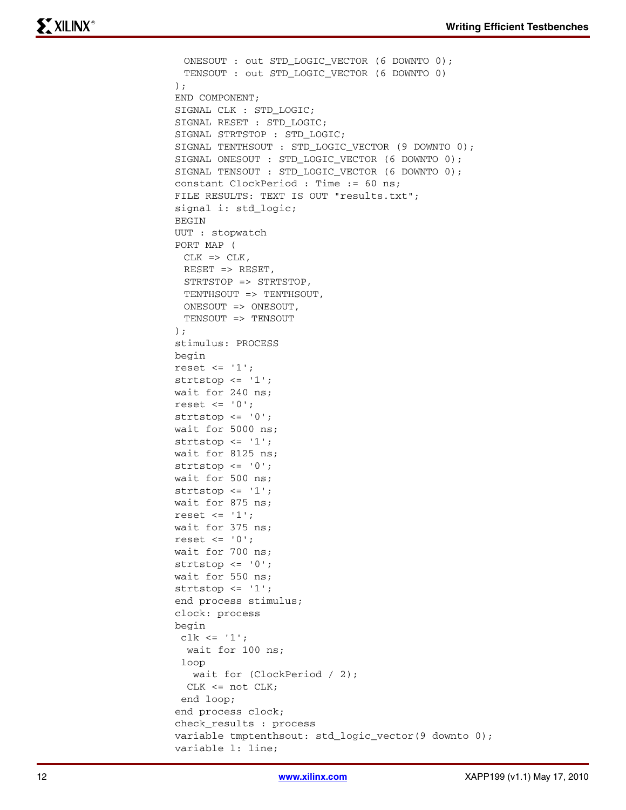```
ONESOUT : out STD_LOGIC_VECTOR (6 DOWNTO 0);
 TENSOUT : out STD_LOGIC_VECTOR (6 DOWNTO 0)
);
END COMPONENT;
SIGNAL CLK : STD_LOGIC;
SIGNAL RESET : STD_LOGIC;
SIGNAL STRTSTOP : STD_LOGIC;
SIGNAL TENTHSOUT : STD_LOGIC_VECTOR (9 DOWNTO 0);
SIGNAL ONESOUT : STD_LOGIC_VECTOR (6 DOWNTO 0);
SIGNAL TENSOUT : STD_LOGIC_VECTOR (6 DOWNTO 0);
constant ClockPeriod : Time := 60 ns;
FILE RESULTS: TEXT IS OUT "results.txt";
signal i: std_logic;
BEGIN
UUT : stopwatch
PORT MAP (
 CLK => CLK,
 RESET => RESET,
 STRTSTOP => STRTSTOP,
 TENTHSOUT => TENTHSOUT,
 ONESOUT => ONESOUT,
 TENSOUT => TENSOUT
);
stimulus: PROCESS
begin
reset \leq '1';
strtstop \leq -1';
wait for 240 ns;
reset \leq '0';
strtstop <= '0';
wait for 5000 ns;
strtstop \leq -1';
wait for 8125 ns;
strtstop \leq -10';
wait for 500 ns;
strtstop \leq -1';
wait for 875 ns;
reset \leq -1';
wait for 375 ns;
reset \leq '0';
wait for 700 ns;
strtstop \leq -10';
wait for 550 ns;
strtstop <= '1';
end process stimulus;
clock: process
begin
clk <= '1;
  wait for 100 ns;
  loop
   wait for (ClockPeriod / 2);
  CLK <= not CLK;
  end loop;
end process clock;
check_results : process
variable tmptenthsout: std_logic_vector(9 downto 0);
variable l: line;
```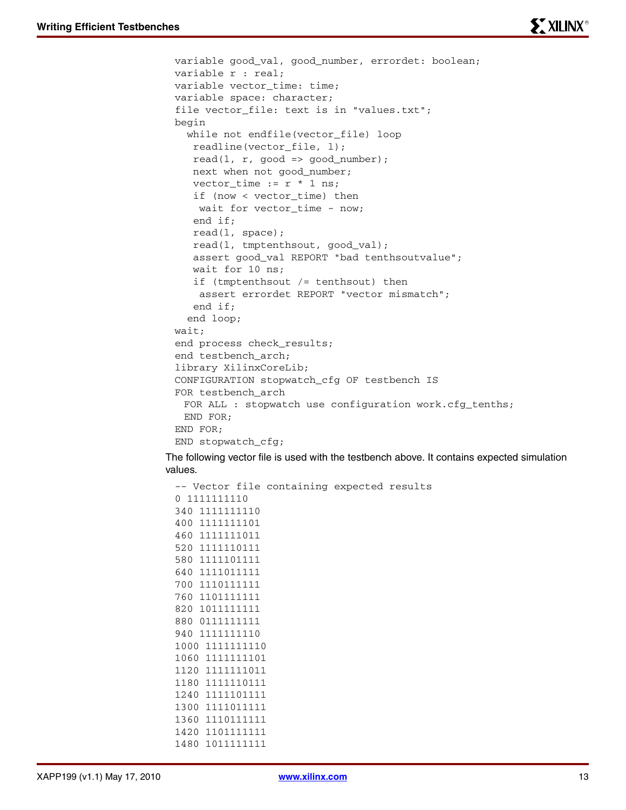```
variable good_val, good_number, errordet: boolean;
variable r : real;
variable vector_time: time;
variable space: character;
file vector_file: text is in "values.txt";
begin 
   while not endfile(vector_file) loop
    readline(vector_file, l);
   read(1, r, good \Rightarrow good_number);
    next when not good_number;
   vector_time := r * 1 ns;
    if (now < vector_time) then
    wait for vector_time - now;
    end if;
    read(l, space);
    read(l, tmptenthsout, good_val);
    assert good_val REPORT "bad tenthsoutvalue";
    wait for 10 ns;
    if (tmptenthsout /= tenthsout) then
     assert errordet REPORT "vector mismatch";
    end if;
   end loop;
wait;
end process check_results;
end testbench_arch;
library XilinxCoreLib;
CONFIGURATION stopwatch_cfg OF testbench IS
FOR testbench_arch
 FOR ALL : stopwatch use configuration work.cfg_tenths;
 END FOR;
END FOR;
END stopwatch_cfg;
```
The following vector file is used with the testbench above. It contains expected simulation values.

```
-- Vector file containing expected results
0 1111111110
340 1111111110
400 1111111101 
460 1111111011 
520 1111110111
580 1111101111 
640 1111011111
700 1110111111 
760 1101111111 
820 1011111111 
880 0111111111
940 1111111110 
1000 1111111110 
1060 1111111101 
1120 1111111011
1180 1111110111 
1240 1111101111
1300 1111011111 
1360 1110111111 
1420 1101111111 
1480 1011111111
```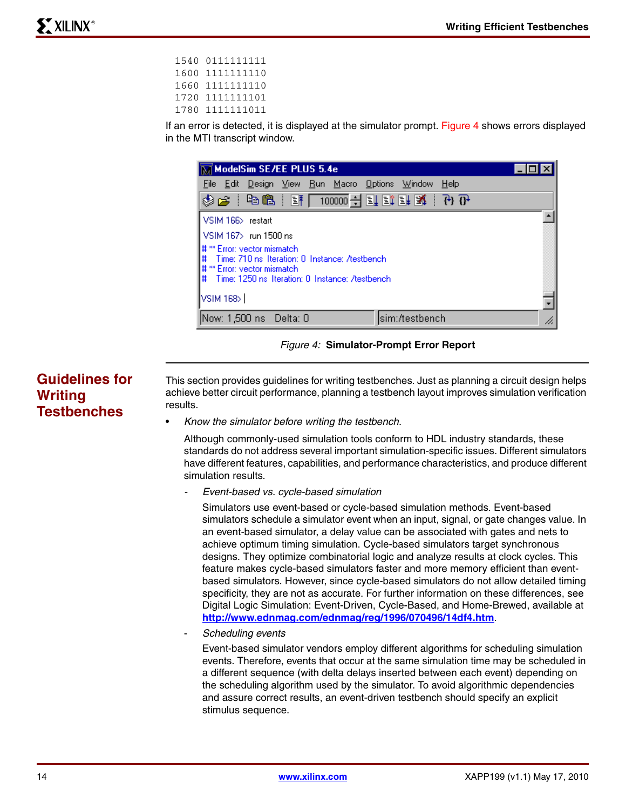| 1540 0111111111 |
|-----------------|
| 1600 1111111110 |
| 1660 1111111110 |
| 1720 1111111101 |
| 1780 1111111011 |
|                 |

If an error is detected, it is displayed at the simulator prompt. [Figure 4](#page-13-0) shows errors displayed in the MTI transcript window.

| $\overline{\mathbb{M}}$ ModelSim SE/EE PLUS 5.4e                                                                                                                           |    |  |  |  |
|----------------------------------------------------------------------------------------------------------------------------------------------------------------------------|----|--|--|--|
| File Edit Design View Run Macro Options<br>Help<br>Window                                                                                                                  |    |  |  |  |
| 今年(中国)里(10000-1月) 即中(台印) 名令                                                                                                                                                |    |  |  |  |
| VSIM 166> restart                                                                                                                                                          |    |  |  |  |
| VSIM 167> run 1500 ns                                                                                                                                                      |    |  |  |  |
| Ц# ** Error: vector mismatch.<br>I#<br>Time: 710 ns Iteration: 0 Instance: /testbench<br># ** Error: vector mismatch<br>## Time: 1250 ns Iteration: 0 Instance: /testbench |    |  |  |  |
| VSIM 168>                                                                                                                                                                  |    |  |  |  |
| sim:/testbench<br>Now: 1,500 ns  Delta: 0                                                                                                                                  | n. |  |  |  |

*Figure 4:* **Simulator-Prompt Error Report**

# **Guidelines for Writing Testbenches**

<span id="page-13-0"></span>This section provides guidelines for writing testbenches. Just as planning a circuit design helps achieve better circuit performance, planning a testbench layout improves simulation verification results.

• *Know the simulator before writing the testbench.*

Although commonly-used simulation tools conform to HDL industry standards, these standards do not address several important simulation-specific issues. Different simulators have different features, capabilities, and performance characteristics, and produce different simulation results.

*- Event-based vs. cycle-based simulation*

Simulators use event-based or cycle-based simulation methods. Event-based simulators schedule a simulator event when an input, signal, or gate changes value. In an event-based simulator, a delay value can be associated with gates and nets to achieve optimum timing simulation. Cycle-based simulators target synchronous designs. They optimize combinatorial logic and analyze results at clock cycles. This feature makes cycle-based simulators faster and more memory efficient than eventbased simulators. However, since cycle-based simulators do not allow detailed timing specificity, they are not as accurate. For further information on these differences, see Digital Logic Simulation: Event-Driven, Cycle-Based, and Home-Brewed, available at **<http://www.ednmag.com/ednmag/reg/1996/070496/14df4.htm>**.

- *Scheduling events*

Event-based simulator vendors employ different algorithms for scheduling simulation events. Therefore, events that occur at the same simulation time may be scheduled in a different sequence (with delta delays inserted between each event) depending on the scheduling algorithm used by the simulator. To avoid algorithmic dependencies and assure correct results, an event-driven testbench should specify an explicit stimulus sequence.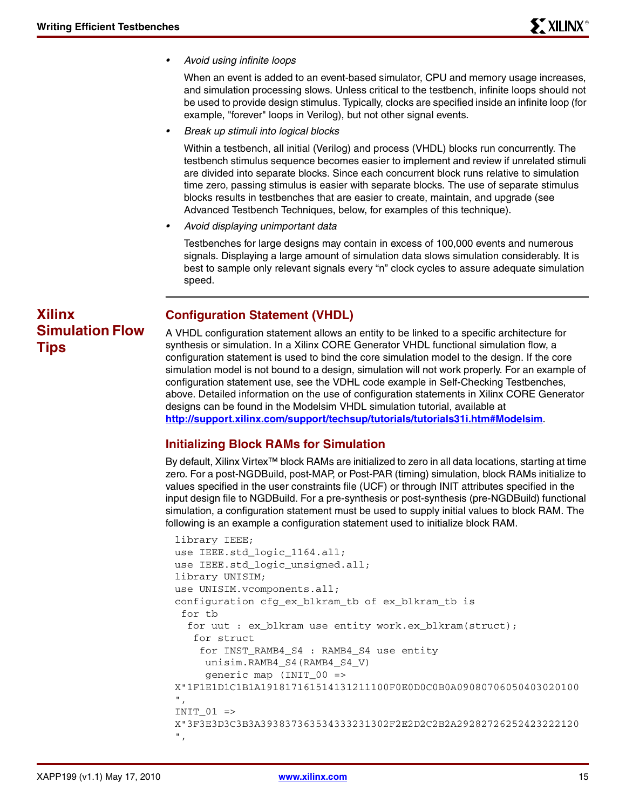*• Avoid using infinite loops*

When an event is added to an event-based simulator, CPU and memory usage increases, and simulation processing slows. Unless critical to the testbench, infinite loops should not be used to provide design stimulus. Typically, clocks are specified inside an infinite loop (for example, "forever" loops in Verilog), but not other signal events.

*• Break up stimuli into logical blocks*

Within a testbench, all initial (Verilog) and process (VHDL) blocks run concurrently. The testbench stimulus sequence becomes easier to implement and review if unrelated stimuli are divided into separate blocks. Since each concurrent block runs relative to simulation time zero, passing stimulus is easier with separate blocks. The use of separate stimulus blocks results in testbenches that are easier to create, maintain, and upgrade (see Advanced Testbench Techniques, below, for examples of this technique).

*• Avoid displaying unimportant data*

Testbenches for large designs may contain in excess of 100,000 events and numerous signals. Displaying a large amount of simulation data slows simulation considerably. It is best to sample only relevant signals every "n" clock cycles to assure adequate simulation speed.

# **Xilinx Simulation Flow Tips**

# **Configuration Statement (VHDL)**

A VHDL configuration statement allows an entity to be linked to a specific architecture for synthesis or simulation. In a Xilinx CORE Generator VHDL functional simulation flow, a configuration statement is used to bind the core simulation model to the design. If the core simulation model is not bound to a design, simulation will not work properly. For an example of configuration statement use, see the VDHL code example in Self-Checking Testbenches, above. Detailed information on the use of configuration statements in Xilinx CORE Generator designs can be found in the Modelsim VHDL simulation tutorial, available at **<http://support.xilinx.com/support/techsup/tutorials/tutorials31i.htm#Modelsim>**.

# **Initializing Block RAMs for Simulation**

By default, Xilinx Virtex™ block RAMs are initialized to zero in all data locations, starting at time zero. For a post-NGDBuild, post-MAP, or Post-PAR (timing) simulation, block RAMs initialize to values specified in the user constraints file (UCF) or through INIT attributes specified in the input design file to NGDBuild. For a pre-synthesis or post-synthesis (pre-NGDBuild) functional simulation, a configuration statement must be used to supply initial values to block RAM. The following is an example a configuration statement used to initialize block RAM.

```
library IEEE;
use IEEE.std_logic_1164.all;
use IEEE.std logic unsigned.all;
library UNISIM;
use UNISIM.vcomponents.all;
configuration cfg_ex_blkram_tb of ex_blkram_tb is
  for tb
  for uut : ex blkram use entity work.ex blkram(struct);
    for struct
     for INST_RAMB4_S4 : RAMB4_S4 use entity
      unisim.RAMB4_S4(RAMB4_S4_V)
      generic map (INIT_00 =>
X"1F1E1D1C1B1A191817161514131211100F0E0D0C0B0A09080706050403020100 
",
INIT 01 =>
X"3F3E3D3C3B3A393837363534333231302F2E2D2C2B2A29282726252423222120 
",
```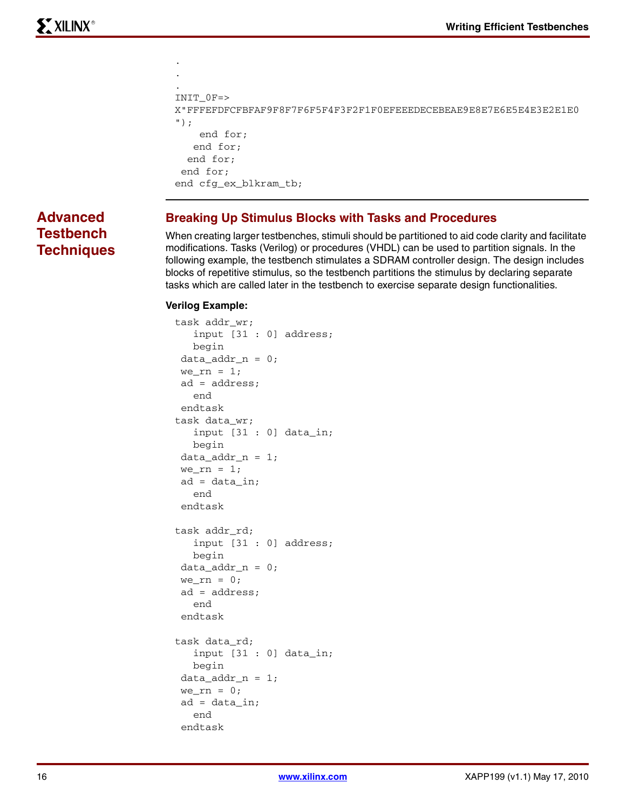```
.
INIT_0F=>
X"FFFEFDFCFBFAF9F8F7F6F5F4F3F2F1F0EFEEEDECEBEAE9E8E7E6E5E4E3E2E1E0 
");
     end for;
    end for;
   end for;
  end for;
end cfg_ex_blkram_tb;
```
# **Advanced Testbench Techniques**

## **Breaking Up Stimulus Blocks with Tasks and Procedures**

When creating larger testbenches, stimuli should be partitioned to aid code clarity and facilitate modifications. Tasks (Verilog) or procedures (VHDL) can be used to partition signals. In the following example, the testbench stimulates a SDRAM controller design. The design includes blocks of repetitive stimulus, so the testbench partitions the stimulus by declaring separate tasks which are called later in the testbench to exercise separate design functionalities.

### **Verilog Example:**

. .

```
task addr_wr;
    input [31 : 0] address;
    begin
data addr n = 0;
we\_rn = 1; ad = address;
    end
 endtask
task data_wr;
    input [31 : 0] data_in;
   begin
data\_addr_n = 1;we rn = 1;
ad = data_in; end
 endtask
task addr_rd;
    input [31 : 0] address;
    begin
 data_addr_n = 0;
we\_rn = 0; ad = address;
    end
 endtask
task data_rd;
    input [31 : 0] data_in;
    begin
data\_addr_n = 1;we\_rn = 0;ad = data_in; end
  endtask
```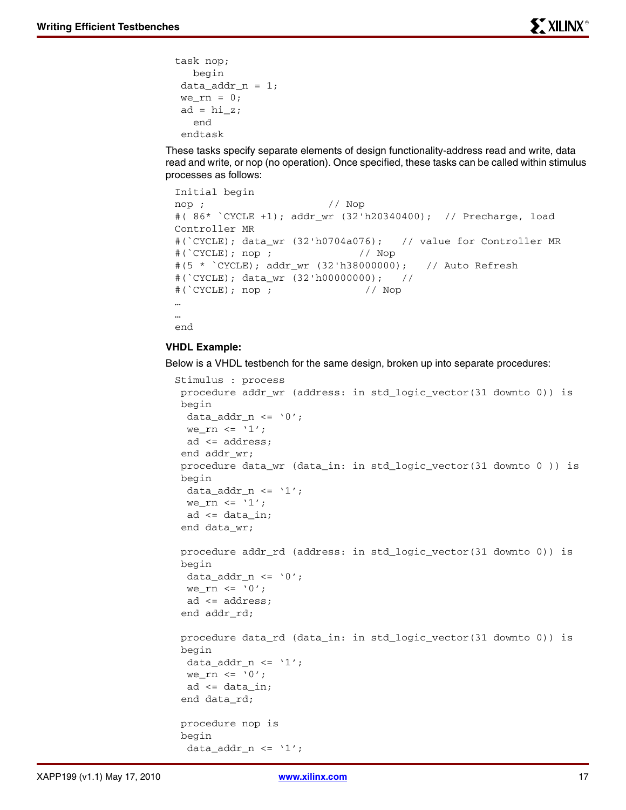```
task nop;
   begin
data\_addr_n = 1;we\_rn = 0;ad = hi_z; end
  endtask
```
These tasks specify separate elements of design functionality-address read and write, data read and write, or nop (no operation). Once specified, these tasks can be called within stimulus processes as follows:

```
Initial begin
nop ; // Nop
#( 86* `CYCLE +1); addr_wr (32'h20340400); // Precharge, load 
Controller MR
#(`CYCLE); data_wr (32'h0704a076); // value for Controller MR
#(`CYCLE); nop ; // Nop
#(5 * `CYCLE); addr_wr (32'h38000000); // Auto Refresh
\#('CYCLE); data wr (32'h00000000); //
#(`CYCLE); nop ; // Nop
…
…
end
```
#### **VHDL Example:**

Below is a VHDL testbench for the same design, broken up into separate procedures:

```
Stimulus : process 
 procedure addr_wr (address: in std_logic_vector(31 downto 0)) is 
 begin
  data_addr_n <= '0';we rn \leq '1';
  ad <= address;
 end addr_wr;
 procedure data_wr (data_in: in std_logic_vector(31 downto 0 )) is 
 begin
 data_addr_n <= '1';we_rn \le '1';
  ad <= data_in;
  end data_wr;
 procedure addr_rd (address: in std_logic_vector(31 downto 0)) is
 begin
 data_addr_n <= '0';we_rn <= '0'; ad <= address;
  end addr_rd;
 procedure data_rd (data_in: in std_logic_vector(31 downto 0)) is
 begin
 data\_addr_n \leq '1';we_rn \leq '0';
  ad <= data_in;
  end data_rd;
 procedure nop is
 begin
  data\_addr_n \leq '1';
```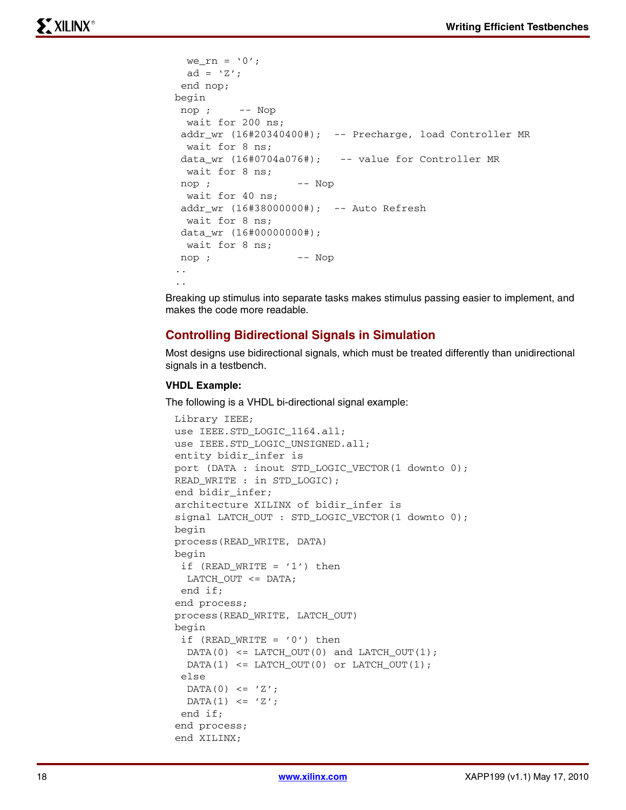```
we\_rn = '0';ad = 'Z';
  end nop;
begin
 nop ; -- Nop
  wait for 200 ns; 
 addr_wr (16#20340400#); -- Precharge, load Controller MR
  wait for 8 ns; 
data_wr (16#0704a076#); -- value for Controller MR
  wait for 8 ns; 
 nop ; -- Nop
  wait for 40 ns; 
 addr_wr (16#38000000#); -- Auto Refresh
  wait for 8 ns; 
 data_wr (16#00000000#); 
  wait for 8 ns; 
 nop ; -- Nop
..
..
```
Breaking up stimulus into separate tasks makes stimulus passing easier to implement, and makes the code more readable.

## **Controlling Bidirectional Signals in Simulation**

Most designs use bidirectional signals, which must be treated differently than unidirectional signals in a testbench.

#### **VHDL Example:**

The following is a VHDL bi-directional signal example:

```
Library IEEE;
use IEEE.STD_LOGIC_1164.all;
use IEEE.STD_LOGIC_UNSIGNED.all;
entity bidir_infer is
port (DATA : inout STD_LOGIC_VECTOR(1 downto 0);
READ WRITE : in STD LOGIC);
end bidir_infer;
architecture XILINX of bidir_infer is
signal LATCH_OUT : STD_LOGIC_VECTOR(1 downto 0);
begin
process(READ_WRITE, DATA)
begin
if (READ_WRITE = '1') then
 LATCH OUT \leq DATA;
  end if;
end process;
process(READ_WRITE, LATCH_OUT)
begin
 if (READ WRITE = '0') then
 DATA(0) <= LATCH_OUT(0) and LATCH_OUT(1);
  DATA(1) <= LATCH_OUT(0) or LATCH_OUT(1);
  else
 DATA(0) \leq 'Z';DATA(1) \leq 'Z'; end if;
end process;
end XILINX;
```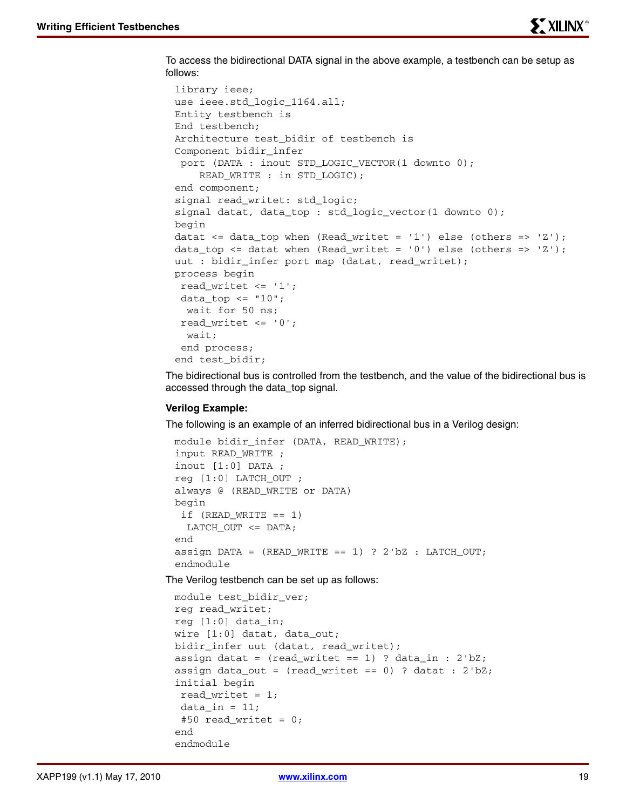To access the bidirectional DATA signal in the above example, a testbench can be setup as follows:

```
library ieee;
use ieee.std_logic_1164.all;
Entity testbench is
End testbench;
Architecture test_bidir of testbench is
Component bidir_infer 
 port (DATA : inout STD_LOGIC_VECTOR(1 downto 0);
    READ WRITE : in STD LOGIC);
end component;
signal read_writet: std_logic;
signal datat, data_top : std_logic_vector(1 downto 0);
begin
datat \leq data_top when (Read_writet = '1') else (others => 'Z');
data_top <= datat when (Read_writet = '0') else (others => 'Z');
uut : bidir infer port map (datat, read writet);
process begin
  read_writet <= '1';
 data_top <= "10";
  wait for 50 ns;
 read writet \leq '0';
   wait;
  end process;
end test_bidir;
```
The bidirectional bus is controlled from the testbench, and the value of the bidirectional bus is accessed through the data\_top signal.

#### **Verilog Example:**

The following is an example of an inferred bidirectional bus in a Verilog design:

```
module bidir_infer (DATA, READ_WRITE);
input READ_WRITE ;
inout [1:0] DATA ;
reg [1:0] LATCH_OUT ;
always @ (READ_WRITE or DATA)
begin
 if (READ_WRITE == 1) LATCH_OUT <= DATA;
end
assign DATA = (READ_WRITE == 1) ? 2'bZ : LATCH_OUT;
endmodule
```
The Verilog testbench can be set up as follows:

```
module test_bidir_ver;
reg read_writet;
reg [1:0] data_in;
wire [1:0] datat, data_out;
bidir_infer uut (datat, read_writet);
assign datat = (read_writet == 1) ? data_in : 2'bZ;
assign data_out = (read_writet == 0) ? datat : 2'bZ;
initial begin
 read_writet = 1;
 data in = 11;#50 read_writet = 0;
end
endmodule
```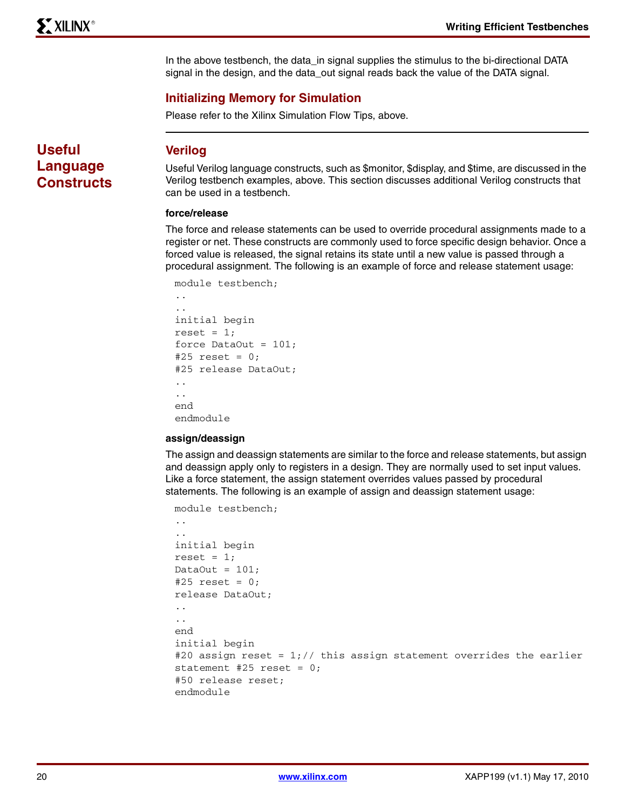In the above testbench, the data\_in signal supplies the stimulus to the bi-directional DATA signal in the design, and the data\_out signal reads back the value of the DATA signal.

## **Initializing Memory for Simulation**

Please refer to the Xilinx Simulation Flow Tips, above.

**Useful Language Constructs**

## **Verilog**

Useful Verilog language constructs, such as \$monitor, \$display, and \$time, are discussed in the Verilog testbench examples, above. This section discusses additional Verilog constructs that can be used in a testbench.

### **force/release**

The force and release statements can be used to override procedural assignments made to a register or net. These constructs are commonly used to force specific design behavior. Once a forced value is released, the signal retains its state until a new value is passed through a procedural assignment. The following is an example of force and release statement usage:

```
module testbench;
```

```
..
..
initial begin
reset = 1;
force DataOut = 101;
#25 reset = 0:#25 release DataOut;
..
..
end
endmodule
```
#### **assign/deassign**

The assign and deassign statements are similar to the force and release statements, but assign and deassign apply only to registers in a design. They are normally used to set input values. Like a force statement, the assign statement overrides values passed by procedural statements. The following is an example of assign and deassign statement usage:

```
module testbench;
..
..
initial begin
reset = 1;DataOut = 101;
#25 reset = 0;release DataOut;
..
..
end
initial begin
#20 assign reset = 1; // this assign statement overrides the earlier
statement #25 reset = 0;
#50 release reset;
endmodule
```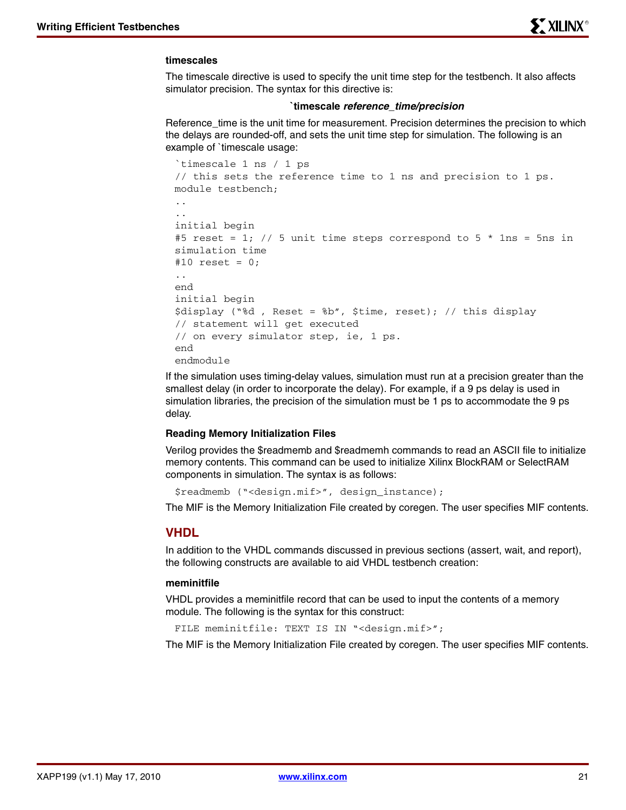#### **timescales**

The timescale directive is used to specify the unit time step for the testbench. It also affects simulator precision. The syntax for this directive is:

#### **`timescale** *reference\_time/precision*

Reference\_time is the unit time for measurement. Precision determines the precision to which the delays are rounded-off, and sets the unit time step for simulation. The following is an example of `timescale usage:

```
`timescale 1 ns / 1 ps
// this sets the reference time to 1 ns and precision to 1 ps.
module testbench;
..
..
initial begin
#5 reset = 1; // 5 unit time steps correspond to 5 * 1ns = 5ns in
simulation time
#10 reset = 0:..
end
initial begin
$display ("%d , Reset = %b", $time, reset); // this display 
// statement will get executed 
// on every simulator step, ie, 1 ps.
end
endmodule
```
If the simulation uses timing-delay values, simulation must run at a precision greater than the smallest delay (in order to incorporate the delay). For example, if a 9 ps delay is used in simulation libraries, the precision of the simulation must be 1 ps to accommodate the 9 ps delay.

#### **Reading Memory Initialization Files**

Verilog provides the \$readmemb and \$readmemh commands to read an ASCII file to initialize memory contents. This command can be used to initialize Xilinx BlockRAM or SelectRAM components in simulation. The syntax is as follows:

\$readmemb ("<design.mif>", design\_instance);

The MIF is the Memory Initialization File created by coregen. The user specifies MIF contents.

#### **VHDL**

In addition to the VHDL commands discussed in previous sections (assert, wait, and report), the following constructs are available to aid VHDL testbench creation:

#### **meminitfile**

VHDL provides a meminitfile record that can be used to input the contents of a memory module. The following is the syntax for this construct:

FILE meminitfile: TEXT IS IN "<design.mif>";

The MIF is the Memory Initialization File created by coregen. The user specifies MIF contents.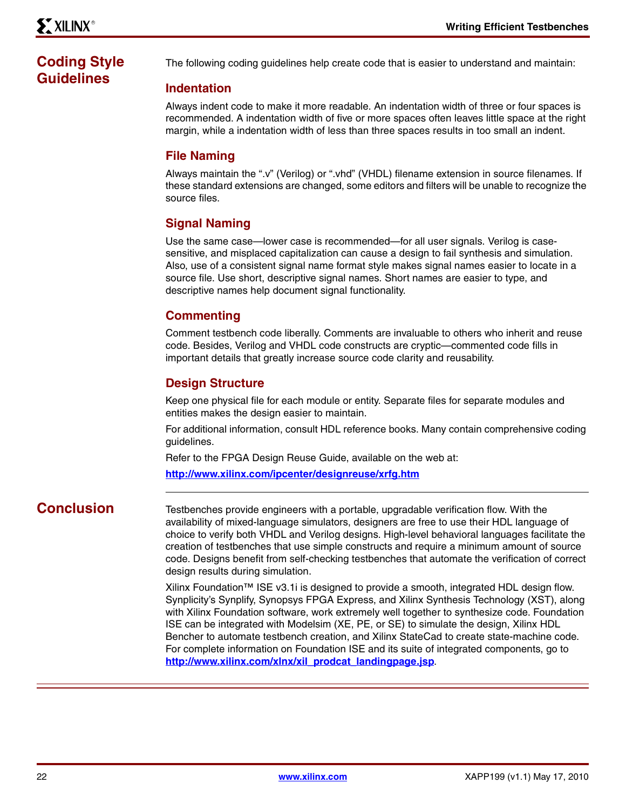# **Coding Style Guidelines**

The following coding guidelines help create code that is easier to understand and maintain:

## **Indentation**

Always indent code to make it more readable. An indentation width of three or four spaces is recommended. A indentation width of five or more spaces often leaves little space at the right margin, while a indentation width of less than three spaces results in too small an indent.

## **File Naming**

Always maintain the ".v" (Verilog) or ".vhd" (VHDL) filename extension in source filenames. If these standard extensions are changed, some editors and filters will be unable to recognize the source files.

## **Signal Naming**

Use the same case—lower case is recommended—for all user signals. Verilog is casesensitive, and misplaced capitalization can cause a design to fail synthesis and simulation. Also, use of a consistent signal name format style makes signal names easier to locate in a source file. Use short, descriptive signal names. Short names are easier to type, and descriptive names help document signal functionality.

## **Commenting**

Comment testbench code liberally. Comments are invaluable to others who inherit and reuse code. Besides, Verilog and VHDL code constructs are cryptic—commented code fills in important details that greatly increase source code clarity and reusability.

## **Design Structure**

Keep one physical file for each module or entity. Separate files for separate modules and entities makes the design easier to maintain.

For additional information, consult HDL reference books. Many contain comprehensive coding guidelines.

Refer to the FPGA Design Reuse Guide, available on the web at:

**<http://www.xilinx.com/ipcenter/designreuse/xrfg.htm>**

**Conclusion** Testbenches provide engineers with a portable, upgradable verification flow. With the availability of mixed-language simulators, designers are free to use their HDL language of choice to verify both VHDL and Verilog designs. High-level behavioral languages facilitate the creation of testbenches that use simple constructs and require a minimum amount of source code. Designs benefit from self-checking testbenches that automate the verification of correct design results during simulation.

> Xilinx Foundation™ ISE v3.1i is designed to provide a smooth, integrated HDL design flow. Synplicity's Synplify, Synopsys FPGA Express, and Xilinx Synthesis Technology (XST), along with Xilinx Foundation software, work extremely well together to synthesize code. Foundation ISE can be integrated with Modelsim (XE, PE, or SE) to simulate the design, Xilinx HDL Bencher to automate testbench creation, and Xilinx StateCad to create state-machine code. For complete information on Foundation ISE and its suite of integrated components, go to **[http://www.xilinx.com/xlnx/xil\\_prodcat\\_landingpage.jsp](http://www.xilinx.com/xlnx/xil_prodcat_landingpage.jsp)**.